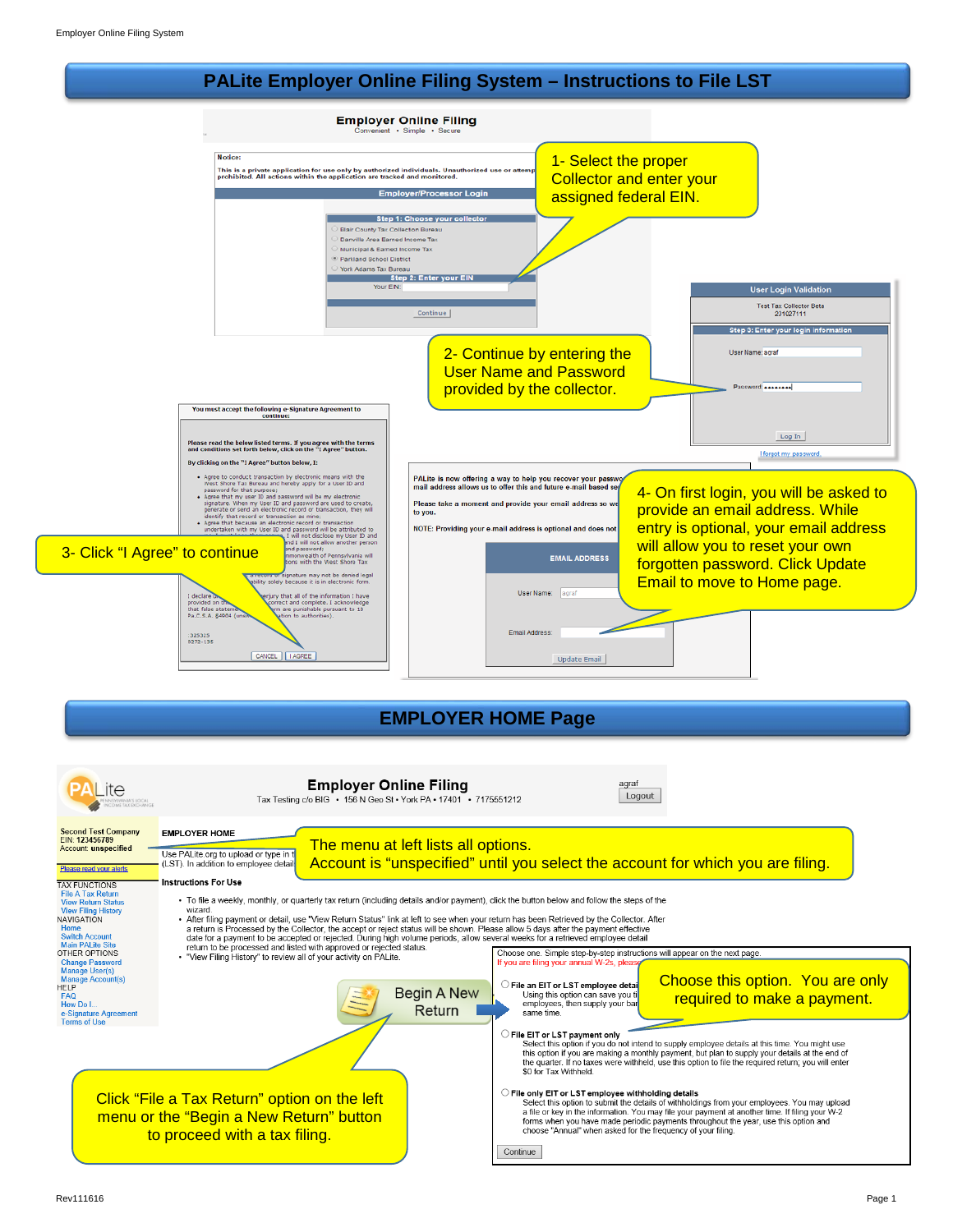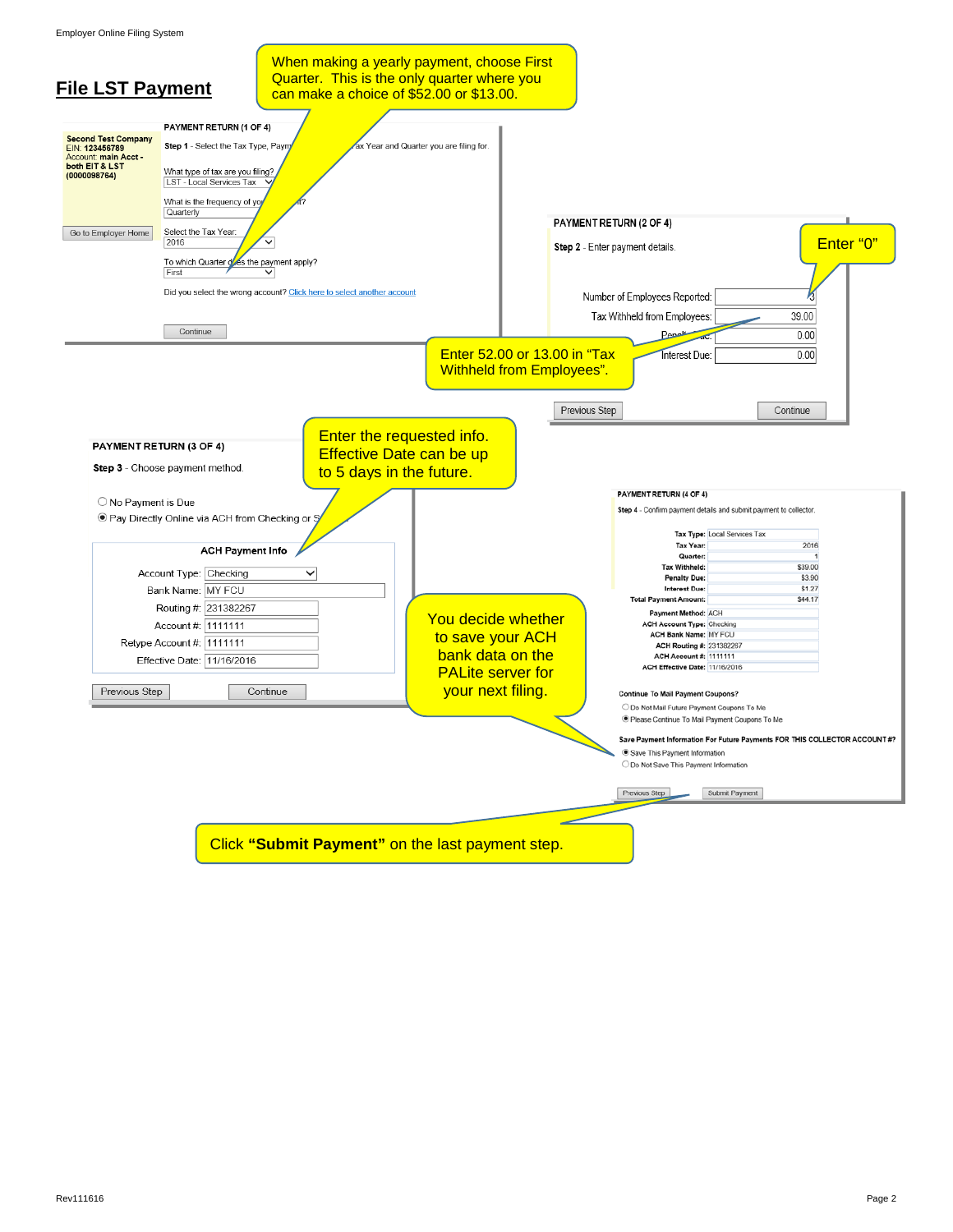Employer Online Filing System